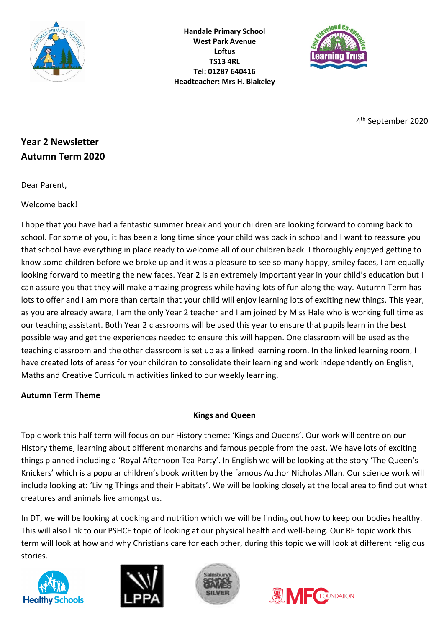

**Handale Primary School West Park Avenue Loftus TS13 4RL Tel: 01287 640416 Headteacher: Mrs H. Blakeley**



4 th September 2020

# **Year 2 Newsletter Autumn Term 2020**

Dear Parent,

Welcome back!

I hope that you have had a fantastic summer break and your children are looking forward to coming back to school. For some of you, it has been a long time since your child was back in school and I want to reassure you that school have everything in place ready to welcome all of our children back. I thoroughly enjoyed getting to know some children before we broke up and it was a pleasure to see so many happy, smiley faces, I am equally looking forward to meeting the new faces. Year 2 is an extremely important year in your child's education but I can assure you that they will make amazing progress while having lots of fun along the way. Autumn Term has lots to offer and I am more than certain that your child will enjoy learning lots of exciting new things. This year, as you are already aware, I am the only Year 2 teacher and I am joined by Miss Hale who is working full time as our teaching assistant. Both Year 2 classrooms will be used this year to ensure that pupils learn in the best possible way and get the experiences needed to ensure this will happen. One classroom will be used as the teaching classroom and the other classroom is set up as a linked learning room. In the linked learning room, I have created lots of areas for your children to consolidate their learning and work independently on English, Maths and Creative Curriculum activities linked to our weekly learning.

# **Autumn Term Theme**

# **Kings and Queen**

Topic work this half term will focus on our History theme: 'Kings and Queens'. Our work will centre on our History theme, learning about different monarchs and famous people from the past. We have lots of exciting things planned including a 'Royal Afternoon Tea Party'. In English we will be looking at the story 'The Queen's Knickers' which is a popular children's book written by the famous Author Nicholas Allan. Our science work will include looking at: 'Living Things and their Habitats'. We will be looking closely at the local area to find out what creatures and animals live amongst us.

In DT, we will be looking at cooking and nutrition which we will be finding out how to keep our bodies healthy. This will also link to our PSHCE topic of looking at our physical health and well-being. Our RE topic work this term will look at how and why Christians care for each other, during this topic we will look at different religious stories.